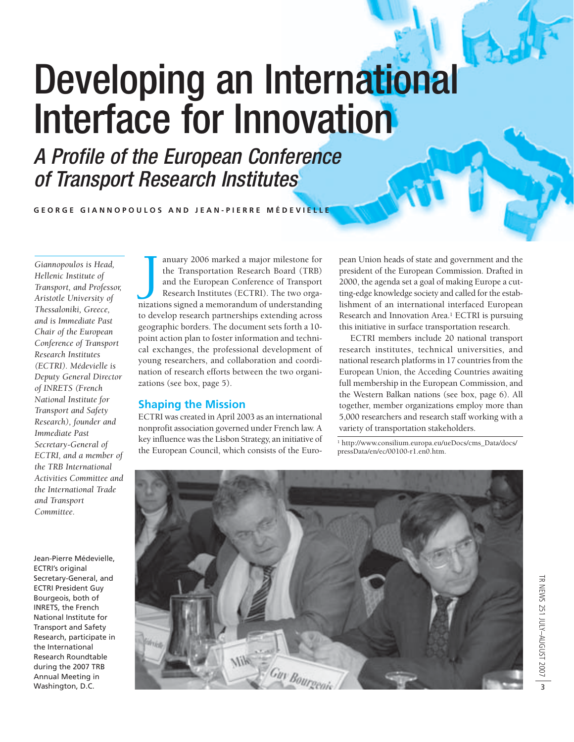# Developing an International Interface for Innovation

A Profile of the European Conference of Transport Research Institutes

**GEORGE GIANNOPOULOS AND JEAN-PIERRE MÉDEVIELLE**

*Giannopoulos is Head, Hellenic Institute of Transport, and Professor, Aristotle University of Thessaloniki, Greece, and is Immediate Past Chair of the European Conference of Transport Research Institutes (ECTRI). Médevielle is Deputy General Director of INRETS (French National Institute for Transport and Safety Research), founder and Immediate Past Secretary-General of ECTRI, and a member of the TRB International Activities Committee and the International Trade and Transport Committee.*

Jean-Pierre Médevielle, ECTRI's original Secretary-General, and ECTRI President Guy Bourgeois, both of INRETS, the French National Institute for Transport and Safety Research, participate in the International Research Roundtable during the 2007 TRB Annual Meeting in Washington, D.C.

J anuary 2006 marked a major milestone for the Transportation Research Board (TRB) and the European Conference of Transport Research Institutes (ECTRI). The two organizations signed a memorandum of understanding to develop research partnerships extending across geographic borders. The document sets forth a 10 point action plan to foster information and technical exchanges, the professional development of young researchers, and collaboration and coordination of research efforts between the two organizations (see box, page 5).

## **Shaping the Mission**

ECTRI was created in April 2003 as an international nonprofit association governed under French law. A key influence was the Lisbon Strategy, an initiative of the European Council, which consists of the Euro-

pean Union heads of state and government and the president of the European Commission. Drafted in 2000, the agenda set a goal of making Europe a cutting-edge knowledge society and called for the establishment of an international interfaced European Research and Innovation Area.<sup>1</sup> ECTRI is pursuing this initiative in surface transportation research.

ECTRI members include 20 national transport research institutes, technical universities, and national research platforms in 17 countries from the European Union, the Acceding Countries awaiting full membership in the European Commission, and the Western Balkan nations (see box, page 6). All together, member organizations employ more than 5,000 researchers and research staff working with a variety of transportation stakeholders.

<sup>1</sup> http://www.consilium.europa.eu/ueDocs/cms\_Data/docs/ pressData/en/ec/00100-r1.en0.htm.

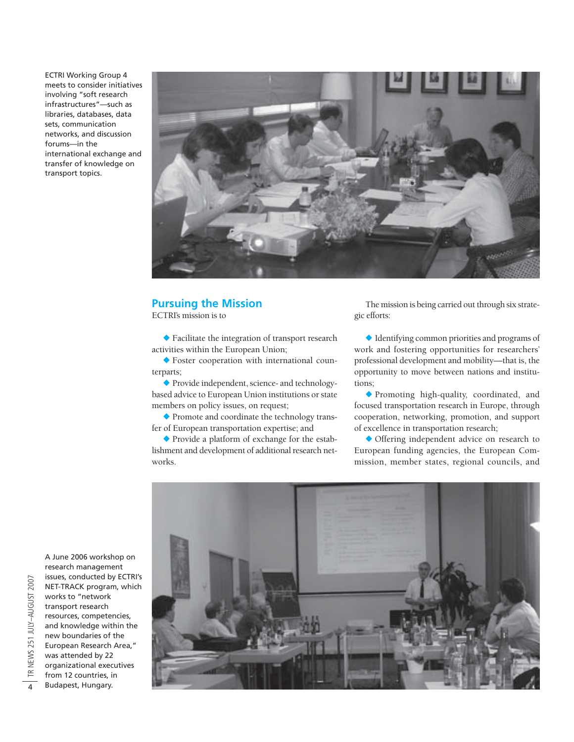ECTRI Working Group 4 meets to consider initiatives involving "soft research infrastructures"—such as libraries, databases, data sets, communication networks, and discussion forums—in the international exchange and transfer of knowledge on transport topics.



## **Pursuing the Mission**

ECTRI's mission is to

- Facilitate the integration of transport research activities within the European Union;

- Foster cooperation with international counterparts;

- Provide independent, science- and technologybased advice to European Union institutions or state members on policy issues, on request;

- Promote and coordinate the technology transfer of European transportation expertise; and

- Provide a platform of exchange for the establishment and development of additional research networks.

The mission is being carried out through six strategic efforts:

- Identifying common priorities and programs of work and fostering opportunities for researchers' professional development and mobility—that is, the opportunity to move between nations and institutions;

- Promoting high-quality, coordinated, and focused transportation research in Europe, through cooperation, networking, promotion, and support of excellence in transportation research;

- Offering independent advice on research to European funding agencies, the European Commission, member states, regional councils, and



A June 2006 workshop on research management issues, conducted by ECTRI's NET-TRACK program, which works to "network transport research resources, competencies, and knowledge within the new boundaries of the European Research Area," was attended by 22 organizational executives from 12 countries, in Budapest, Hungary.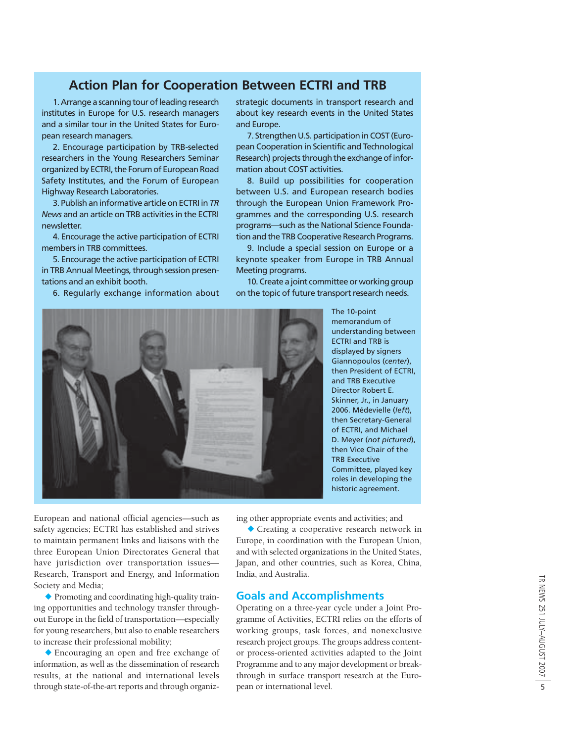# **Action Plan for Cooperation Between ECTRI and TRB**

1. Arrange a scanning tour of leading research institutes in Europe for U.S. research managers and a similar tour in the United States for European research managers.

2. Encourage participation by TRB-selected researchers in the Young Researchers Seminar organized by ECTRI, the Forum of European Road Safety Institutes, and the Forum of European Highway Research Laboratories.

3. Publish an informative article on ECTRI in *TR News* and an article on TRB activities in the ECTRI newsletter.

4. Encourage the active participation of ECTRI members in TRB committees.

5. Encourage the active participation of ECTRI in TRB Annual Meetings, through session presentations and an exhibit booth.

6. Regularly exchange information about

strategic documents in transport research and about key research events in the United States and Europe.

7. Strengthen U.S. participation in COST (European Cooperation in Scientific and Technological Research) projects through the exchange of information about COST activities.

8. Build up possibilities for cooperation between U.S. and European research bodies through the European Union Framework Programmes and the corresponding U.S. research programs—such as the National Science Foundation and the TRB Cooperative Research Programs.

9. Include a special session on Europe or a keynote speaker from Europe in TRB Annual Meeting programs.

10. Create a joint committee or working group on the topic of future transport research needs.



The 10-point memorandum of understanding between ECTRI and TRB is displayed by signers Giannopoulos (*center*), then President of ECTRI, and TRB Executive Director Robert E. Skinner, Jr., in January 2006. Médevielle (*left*), then Secretary-General of ECTRI, and Michael D. Meyer (*not pictured*), then Vice Chair of the TRB Executive Committee, played key roles in developing the historic agreement.

European and national official agencies—such as safety agencies; ECTRI has established and strives to maintain permanent links and liaisons with the three European Union Directorates General that have jurisdiction over transportation issues— Research, Transport and Energy, and Information Society and Media;

- Promoting and coordinating high-quality training opportunities and technology transfer throughout Europe in the field of transportation—especially for young researchers, but also to enable researchers to increase their professional mobility;

- Encouraging an open and free exchange of information, as well as the dissemination of research results, at the national and international levels through state-of-the-art reports and through organizing other appropriate events and activities; and

- Creating a cooperative research network in Europe, in coordination with the European Union, and with selected organizations in the United States, Japan, and other countries, such as Korea, China, India, and Australia.

### **Goals and Accomplishments**

Operating on a three-year cycle under a Joint Programme of Activities, ECTRI relies on the efforts of working groups, task forces, and nonexclusive research project groups. The groups address contentor process-oriented activities adapted to the Joint Programme and to any major development or breakthrough in surface transport research at the European or international level.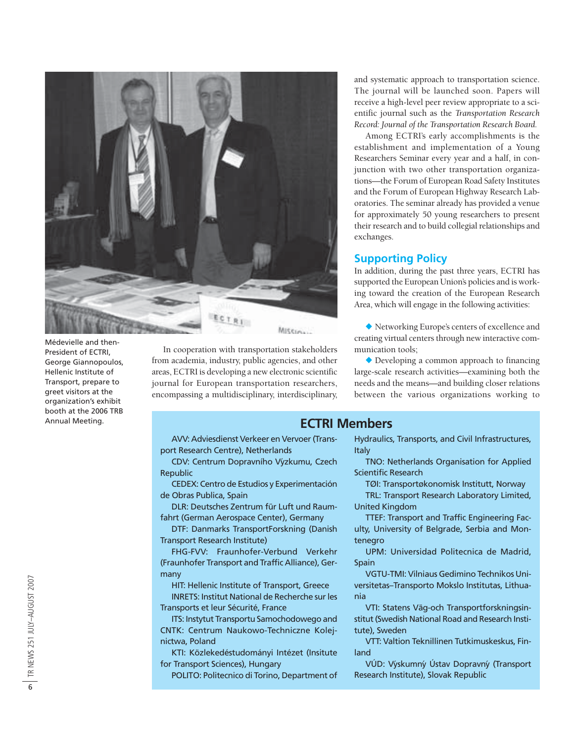

Médevielle and then-President of ECTRI, George Giannopoulos, Hellenic Institute of Transport, prepare to greet visitors at the organization's exhibit booth at the 2006 TRB Annual Meeting.

In cooperation with transportation stakeholders from academia, industry, public agencies, and other areas, ECTRI is developing a new electronic scientific journal for European transportation researchers, encompassing a multidisciplinary, interdisciplinary, and systematic approach to transportation science. The journal will be launched soon. Papers will receive a high-level peer review appropriate to a scientific journal such as the *Transportation Research Record: Journal of the Transportation Research Board.*

Among ECTRI's early accomplishments is the establishment and implementation of a Young Researchers Seminar every year and a half, in conjunction with two other transportation organizations—the Forum of European Road Safety Institutes and the Forum of European Highway Research Laboratories. The seminar already has provided a venue for approximately 50 young researchers to present their research and to build collegial relationships and exchanges.

## **Supporting Policy**

**ECTRI Members**

In addition, during the past three years, ECTRI has supported the European Union's policies and is working toward the creation of the European Research Area, which will engage in the following activities:

- Networking Europe's centers of excellence and creating virtual centers through new interactive communication tools;

- Developing a common approach to financing large-scale research activities—examining both the needs and the means—and building closer relations between the various organizations working to

AVV: Adviesdienst Verkeer en Vervoer (Transport Research Centre), Netherlands

CDV: Centrum Dopravního Výzkumu, Czech Republic

CEDEX: Centro de Estudios y Experimentación de Obras Publica, Spain

DLR: Deutsches Zentrum für Luft und Raumfahrt (German Aerospace Center), Germany

DTF: Danmarks TransportForskning (Danish Transport Research Institute)

FHG-FVV: Fraunhofer-Verbund Verkehr (Fraunhofer Transport and Traffic Alliance), Germany

HIT: Hellenic Institute of Transport, Greece INRETS: Institut National de Recherche sur les Transports et leur Sécurité, France

ITS: Instytut Transportu Samochodowego and CNTK: Centrum Naukowo-Techniczne Kolejnictwa, Poland

KTI: Közlekedéstudományi Intézet (Insitute for Transport Sciences), Hungary

POLITO: Politecnico di Torino, Department of

Hydraulics, Transports, and Civil Infrastructures, Italy

TNO: Netherlands Organisation for Applied Scientific Research

TØI: Transportøkonomisk Institutt, Norway

TRL: Transport Research Laboratory Limited, United Kingdom

TTEF: Transport and Traffic Engineering Faculty, University of Belgrade, Serbia and Montenegro

UPM: Universidad Politecnica de Madrid, Spain

VGTU-TMI: Vilniaus Gedimino Technikos Universitetas–Transporto Mokslo Institutas, Lithuania

VTI: Statens Väg-och Transportforskningsinstitut (Swedish National Road and Research Institute), Sweden

VTT: Valtion Teknillinen Tutkimuskeskus, Finland

VÚD: Výskumný Ústav Dopravný (Transport Research Institute), Slovak Republic